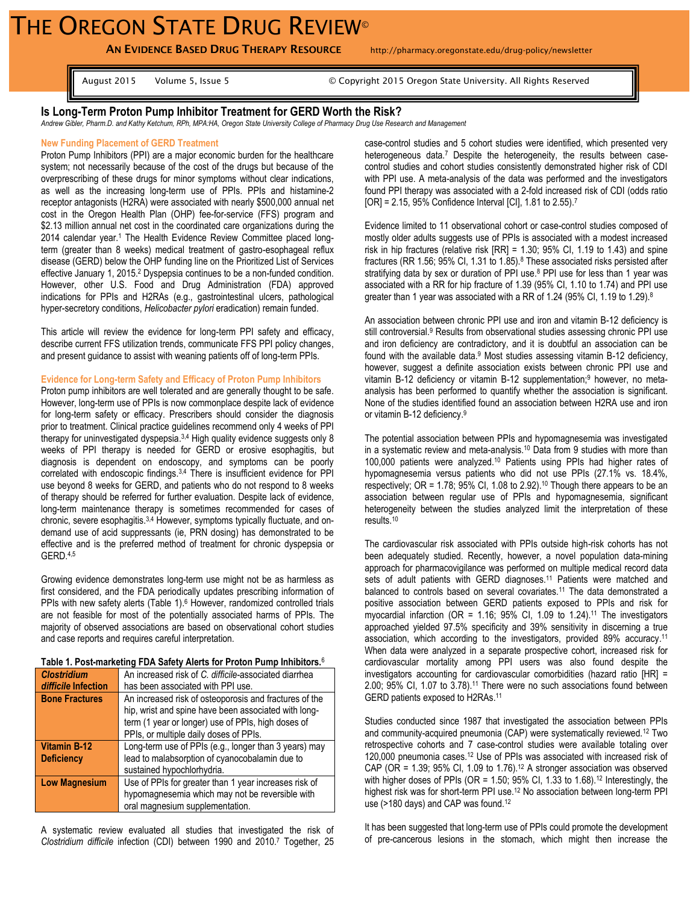# THE OREGON STATE DRUG REVIEW®

**AN EVIDENCE BASED DRUG THERAPY RESOURCE** http://pharmacy.oregonstate.edu/drug-policy/newsletter

August 2015 Volume 5, Issue 5 © Copyright 2015 Oregon State University. All Rights Reserved

## **Is Long-Term Proton Pump Inhibitor Treatment for GERD Worth the Risk?**

*Andrew Gibler, Pharm.D. and Kathy Ketchum, RPh, MPA:HA, Oregon State University College of Pharmacy Drug Use Research and Management*

## **New Funding Placement of GERD Treatment**

Proton Pump Inhibitors (PPI) are a major economic burden for the healthcare system; not necessarily because of the cost of the drugs but because of the overprescribing of these drugs for minor symptoms without clear indications, as well as the increasing long-term use of PPIs. PPIs and histamine-2 receptor antagonists (H2RA) were associated with nearly \$500,000 annual net cost in the Oregon Health Plan (OHP) fee-for-service (FFS) program and \$2.13 million annual net cost in the coordinated care organizations during the 2014 calendar year.<sup>1</sup> The Health Evidence Review Committee placed longterm (greater than 8 weeks) medical treatment of gastro-esophageal reflux disease (GERD) below the OHP funding line on the Prioritized List of Services effective January 1, 2015.<sup>2</sup> Dyspepsia continues to be a non-funded condition. However, other U.S. Food and Drug Administration (FDA) approved indications for PPIs and H2RAs (e.g., gastrointestinal ulcers, pathological hyper-secretory conditions, *Helicobacter pylori* eradication) remain funded.

This article will review the evidence for long-term PPI safety and efficacy, describe current FFS utilization trends, communicate FFS PPI policy changes, and present guidance to assist with weaning patients off of long-term PPIs.

## **Evidence for Long-term Safety and Efficacy of Proton Pump Inhibitors**

Proton pump inhibitors are well tolerated and are generally thought to be safe. However, long-term use of PPIs is now commonplace despite lack of evidence for long-term safety or efficacy. Prescribers should consider the diagnosis prior to treatment. Clinical practice guidelines recommend only 4 weeks of PPI therapy for uninvestigated dyspepsia.<sup>3,4</sup> High quality evidence suggests only 8 weeks of PPI therapy is needed for GERD or erosive esophagitis, but diagnosis is dependent on endoscopy, and symptoms can be poorly correlated with endoscopic findings.<sup>3,4</sup> There is insufficient evidence for PPI use beyond 8 weeks for GERD, and patients who do not respond to 8 weeks of therapy should be referred for further evaluation. Despite lack of evidence, long-term maintenance therapy is sometimes recommended for cases of chronic, severe esophagitis.<sup>3,4</sup> However, symptoms typically fluctuate, and ondemand use of acid suppressants (ie, PRN dosing) has demonstrated to be effective and is the preferred method of treatment for chronic dyspepsia or GERD. 4,5

Growing evidence demonstrates long-term use might not be as harmless as first considered, and the FDA periodically updates prescribing information of PPIs with new safety alerts (Table 1). <sup>6</sup> However, randomized controlled trials are not feasible for most of the potentially associated harms of PPIs. The majority of observed associations are based on observational cohort studies and case reports and requires careful interpretation.

#### **Table 1. Post-marketing FDA Safety Alerts for Proton Pump Inhibitors.**<sup>6</sup>

| <b>Clostridium</b>    | An increased risk of C. difficile-associated diarrhea                                                                                                                                                          |
|-----------------------|----------------------------------------------------------------------------------------------------------------------------------------------------------------------------------------------------------------|
| difficile Infection   | has been associated with PPI use.                                                                                                                                                                              |
| <b>Bone Fractures</b> | An increased risk of osteoporosis and fractures of the<br>hip, wrist and spine have been associated with long-<br>term (1 year or longer) use of PPIs, high doses of<br>PPIs, or multiple daily doses of PPIs. |
|                       |                                                                                                                                                                                                                |
| <b>Vitamin B-12</b>   | Long-term use of PPIs (e.g., longer than 3 years) may                                                                                                                                                          |
| <b>Deficiency</b>     | lead to malabsorption of cyanocobalamin due to                                                                                                                                                                 |
|                       | sustained hypochlorhydria.                                                                                                                                                                                     |
| <b>Low Magnesium</b>  | Use of PPIs for greater than 1 year increases risk of                                                                                                                                                          |
|                       | hypomagnesemia which may not be reversible with<br>oral magnesium supplementation.                                                                                                                             |

A systematic review evaluated all studies that investigated the risk of *Clostridium difficile* infection (CDI) between 1990 and 2010. <sup>7</sup> Together, 25

case-control studies and 5 cohort studies were identified, which presented very heterogeneous data.<sup>7</sup> Despite the heterogeneity, the results between casecontrol studies and cohort studies consistently demonstrated higher risk of CDI with PPI use. A meta-analysis of the data was performed and the investigators found PPI therapy was associated with a 2-fold increased risk of CDI (odds ratio [OR] = 2.15, 95% Confidence Interval [CI], 1.81 to 2.55).<sup>7</sup>

Evidence limited to 11 observational cohort or case-control studies composed of mostly older adults suggests use of PPIs is associated with a modest increased risk in hip fractures (relative risk  $[RR] = 1.30$ ; 95% CI, 1.19 to 1.43) and spine fractures (RR 1.56; 95% CI, 1.31 to 1.85).<sup>8</sup> These associated risks persisted after stratifying data by sex or duration of PPI use. <sup>8</sup> PPI use for less than 1 year was associated with a RR for hip fracture of 1.39 (95% CI, 1.10 to 1.74) and PPI use greater than 1 year was associated with a RR of 1.24 (95% CI, 1.19 to 1.29).<sup>8</sup>

An association between chronic PPI use and iron and vitamin B-12 deficiency is still controversial.<sup>9</sup> Results from observational studies assessing chronic PPI use and iron deficiency are contradictory, and it is doubtful an association can be found with the available data.<sup>9</sup> Most studies assessing vitamin B-12 deficiency, however, suggest a definite association exists between chronic PPI use and vitamin B-12 deficiency or vitamin B-12 supplementation;<sup>9</sup> however, no metaanalysis has been performed to quantify whether the association is significant. None of the studies identified found an association between H2RA use and iron or vitamin B-12 deficiency. 9

The potential association between PPIs and hypomagnesemia was investigated in a systematic review and meta-analysis.<sup>10</sup> Data from 9 studies with more than 100,000 patients were analyzed.<sup>10</sup> Patients using PPIs had higher rates of hypomagnesemia versus patients who did not use PPIs (27.1% vs. 18.4%, respectively; OR = 1.78; 95% CI, 1.08 to 2.92).<sup>10</sup> Though there appears to be an association between regular use of PPIs and hypomagnesemia, significant heterogeneity between the studies analyzed limit the interpretation of these results.<sup>10</sup>

The cardiovascular risk associated with PPIs outside high-risk cohorts has not been adequately studied. Recently, however, a novel population data-mining approach for pharmacovigilance was performed on multiple medical record data sets of adult patients with GERD diagnoses.<sup>11</sup> Patients were matched and balanced to controls based on several covariates.<sup>11</sup> The data demonstrated a positive association between GERD patients exposed to PPIs and risk for myocardial infarction (OR = 1.16; 95% CI, 1.09 to 1.24).<sup>11</sup> The investigators approached yielded 97.5% specificity and 39% sensitivity in discerning a true association, which according to the investigators, provided 89% accuracy. 11 When data were analyzed in a separate prospective cohort, increased risk for cardiovascular mortality among PPI users was also found despite the investigators accounting for cardiovascular comorbidities (hazard ratio [HR] = 2.00; 95% CI, 1.07 to 3.78).<sup>11</sup> There were no such associations found between GERD patients exposed to H2RAs.<sup>11</sup>

Studies conducted since 1987 that investigated the association between PPIs and community-acquired pneumonia (CAP) were systematically reviewed.<sup>12</sup> Two retrospective cohorts and 7 case-control studies were available totaling over 120,000 pneumonia cases.<sup>12</sup> Use of PPIs was associated with increased risk of CAP (OR =  $1.39$ ;  $95\%$  CI,  $1.09$  to  $1.76$ ).<sup>12</sup> A stronger association was observed with higher doses of PPIs (OR = 1.50; 95% CI, 1.33 to 1.68).<sup>12</sup> Interestingly, the highest risk was for short-term PPI use.<sup>12</sup> No association between long-term PPI use (>180 days) and CAP was found.<sup>12</sup>

It has been suggested that long-term use of PPIs could promote the development of pre-cancerous lesions in the stomach, which might then increase the